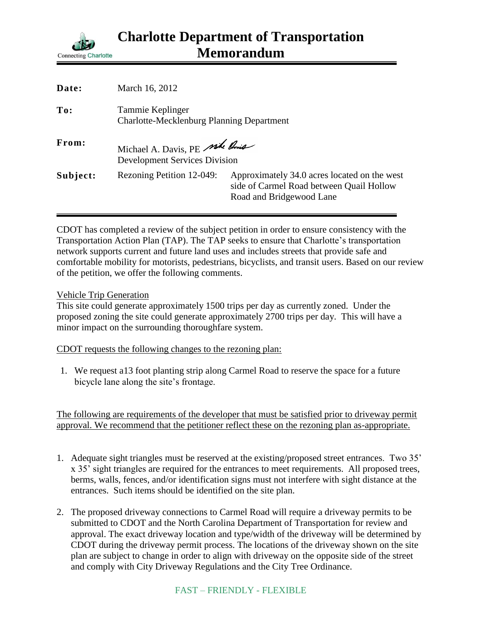

| Date:    | March 16, 2012                                                          |                                                                                                                      |
|----------|-------------------------------------------------------------------------|----------------------------------------------------------------------------------------------------------------------|
| To:      | Tammie Keplinger<br><b>Charlotte-Mecklenburg Planning Department</b>    |                                                                                                                      |
| From:    | Michael A. Davis, PE side Rouse<br><b>Development Services Division</b> |                                                                                                                      |
| Subject: | Rezoning Petition 12-049:                                               | Approximately 34.0 acres located on the west<br>side of Carmel Road between Quail Hollow<br>Road and Bridgewood Lane |

CDOT has completed a review of the subject petition in order to ensure consistency with the Transportation Action Plan (TAP). The TAP seeks to ensure that Charlotte's transportation network supports current and future land uses and includes streets that provide safe and comfortable mobility for motorists, pedestrians, bicyclists, and transit users. Based on our review of the petition, we offer the following comments.

## Vehicle Trip Generation

This site could generate approximately 1500 trips per day as currently zoned. Under the proposed zoning the site could generate approximately 2700 trips per day. This will have a minor impact on the surrounding thoroughfare system.

CDOT requests the following changes to the rezoning plan:

1. We request a13 foot planting strip along Carmel Road to reserve the space for a future bicycle lane along the site's frontage.

The following are requirements of the developer that must be satisfied prior to driveway permit approval. We recommend that the petitioner reflect these on the rezoning plan as-appropriate.

- 1. Adequate sight triangles must be reserved at the existing/proposed street entrances. Two 35' x 35' sight triangles are required for the entrances to meet requirements. All proposed trees, berms, walls, fences, and/or identification signs must not interfere with sight distance at the entrances. Such items should be identified on the site plan.
- 2. The proposed driveway connections to Carmel Road will require a driveway permits to be submitted to CDOT and the North Carolina Department of Transportation for review and approval. The exact driveway location and type/width of the driveway will be determined by CDOT during the driveway permit process. The locations of the driveway shown on the site plan are subject to change in order to align with driveway on the opposite side of the street and comply with City Driveway Regulations and the City Tree Ordinance.